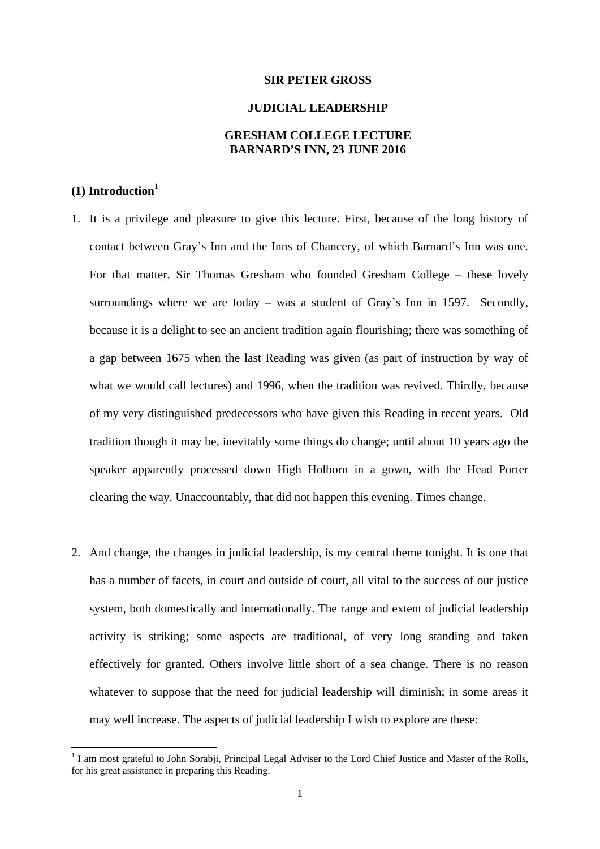#### **SIR PETER GROSS**

#### **JUDICIAL LEADERSHIP**

### **GRESHAM COLLEGE LECTURE BARNARD'S INN, 23 JUNE 2016**

# $(1)$  Introduction<sup>1</sup>

- 1. It is a privilege and pleasure to give this lecture. First, because of the long history of contact between Gray's Inn and the Inns of Chancery, of which Barnard's Inn was one. For that matter, Sir Thomas Gresham who founded Gresham College – these lovely surroundings where we are today – was a student of Gray's Inn in 1597. Secondly, because it is a delight to see an ancient tradition again flourishing; there was something of a gap between 1675 when the last Reading was given (as part of instruction by way of what we would call lectures) and 1996, when the tradition was revived. Thirdly, because of my very distinguished predecessors who have given this Reading in recent years. Old tradition though it may be, inevitably some things do change; until about 10 years ago the speaker apparently processed down High Holborn in a gown, with the Head Porter clearing the way. Unaccountably, that did not happen this evening. Times change.
- 2. And change, the changes in judicial leadership, is my central theme tonight. It is one that has a number of facets, in court and outside of court, all vital to the success of our justice system, both domestically and internationally. The range and extent of judicial leadership activity is striking; some aspects are traditional, of very long standing and taken effectively for granted. Others involve little short of a sea change. There is no reason whatever to suppose that the need for judicial leadership will diminish; in some areas it may well increase. The aspects of judicial leadership I wish to explore are these:

<sup>&</sup>lt;sup>1</sup> I am most grateful to John Sorabji, Principal Legal Adviser to the Lord Chief Justice and Master of the Rolls, for his great assistance in preparing this Reading.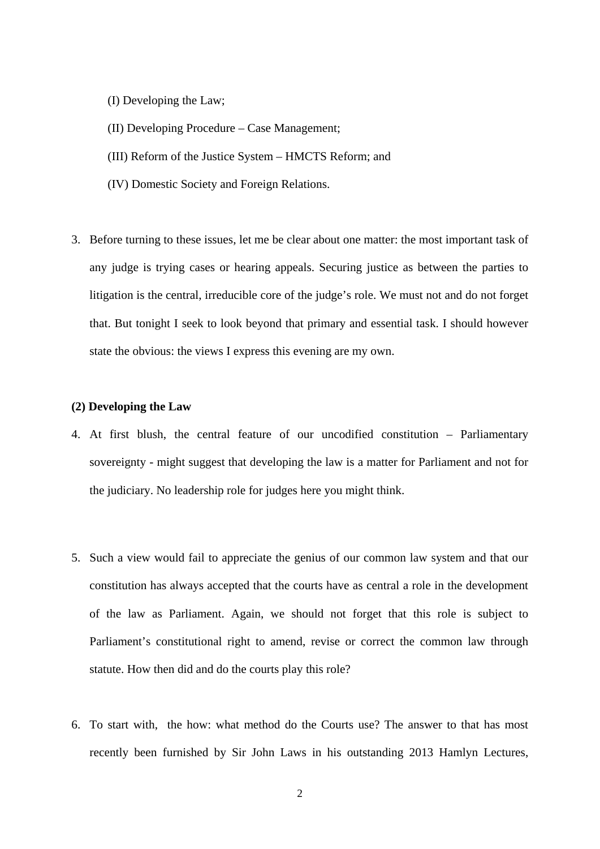- (I) Developing the Law;
- (II) Developing Procedure Case Management;
- (III) Reform of the Justice System HMCTS Reform; and
- (IV) Domestic Society and Foreign Relations.
- 3. Before turning to these issues, let me be clear about one matter: the most important task of any judge is trying cases or hearing appeals. Securing justice as between the parties to litigation is the central, irreducible core of the judge's role. We must not and do not forget that. But tonight I seek to look beyond that primary and essential task. I should however state the obvious: the views I express this evening are my own.

#### **(2) Developing the Law**

- 4. At first blush, the central feature of our uncodified constitution Parliamentary sovereignty - might suggest that developing the law is a matter for Parliament and not for the judiciary. No leadership role for judges here you might think.
- 5. Such a view would fail to appreciate the genius of our common law system and that our constitution has always accepted that the courts have as central a role in the development of the law as Parliament. Again, we should not forget that this role is subject to Parliament's constitutional right to amend, revise or correct the common law through statute. How then did and do the courts play this role?
- 6. To start with, the how: what method do the Courts use? The answer to that has most recently been furnished by Sir John Laws in his outstanding 2013 Hamlyn Lectures,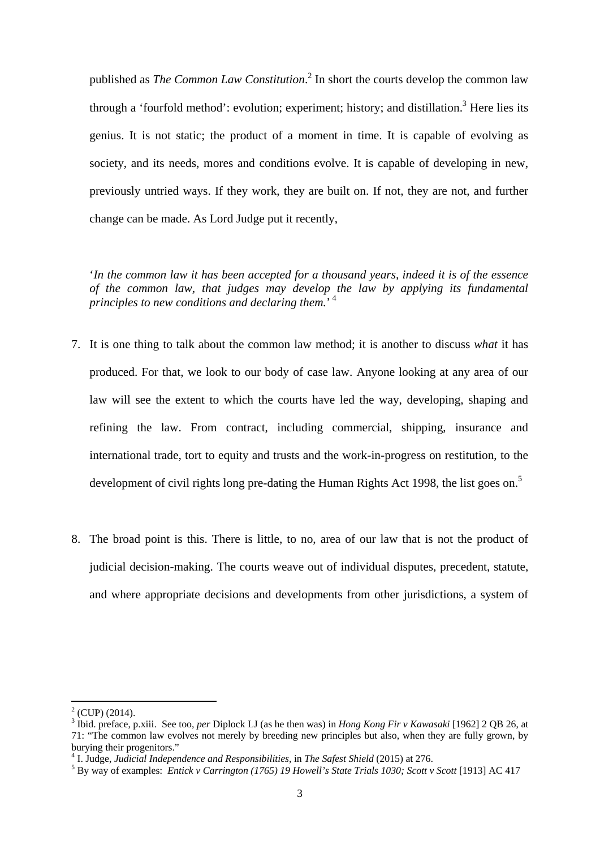published as *The Common Law Constitution*. 2 In short the courts develop the common law through a 'fourfold method': evolution; experiment; history; and distillation.<sup>3</sup> Here lies its genius. It is not static; the product of a moment in time. It is capable of evolving as society, and its needs, mores and conditions evolve. It is capable of developing in new, previously untried ways. If they work, they are built on. If not, they are not, and further change can be made. As Lord Judge put it recently,

'*In the common law it has been accepted for a thousand years, indeed it is of the essence of the common law, that judges may develop the law by applying its fundamental principles to new conditions and declaring them.*' 4

- development of civil rights long pre-dating the Human Rights Act 1998, the list goes on.<sup>5</sup> 7. It is one thing to talk about the common law method; it is another to discuss *what* it has produced. For that, we look to our body of case law. Anyone looking at any area of our law will see the extent to which the courts have led the way, developing, shaping and refining the law. From contract, including commercial, shipping, insurance and international trade, tort to equity and trusts and the work-in-progress on restitution, to the
- 8. The broad point is this. There is little, to no, area of our law that is not the product of judicial decision-making. The courts weave out of individual disputes, precedent, statute, and where appropriate decisions and developments from other jurisdictions, a system of

 $2^2$  (CUP) (2014).

 <sup>3</sup> Ibid. preface, p.xiii. See too, *per* Diplock LJ (as he then was) in *Hong Kong Fir v Kawasaki* [1962] 2 QB 26, at 71: "The common law evolves not merely by breeding new principles but also, when they are fully grown, by burying their progenitors."

<sup>&</sup>lt;sup>4</sup> I. Judge, *Judicial Independence and Responsibilities*, in *The Safest Shield* (2015) at 276.<br><sup>5</sup> By way of averages Fatisky Carrington (1765) 10 Havell's State Trials 1030; Soott v

By way of examples: *Entick v Carrington (1765) 19 Howell's State Trials 1030; Scott v Scott* [1913] AC 417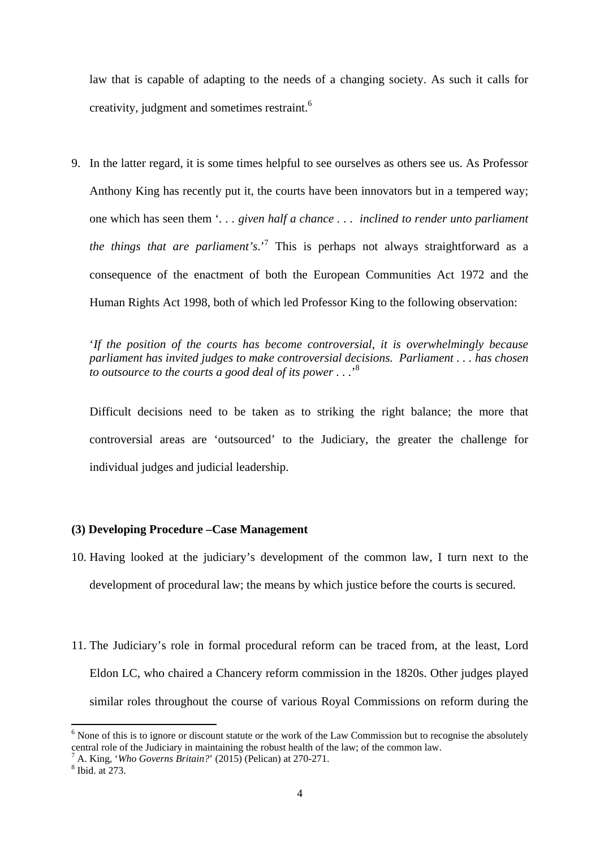creativity, judgment and sometimes restraint.<sup>6</sup> law that is capable of adapting to the needs of a changing society. As such it calls for

9. In the latter regard, it is some times helpful to see ourselves as others see us. As Professor Anthony King has recently put it, the courts have been innovators but in a tempered way; one which has seen them '*. . . given half a chance . . . inclined to render unto parliament the things that are parliament's*.'7 This is perhaps not always straightforward as a consequence of the enactment of both the European Communities Act 1972 and the Human Rights Act 1998, both of which led Professor King to the following observation:

'*If the position of the courts has become controversial, it is overwhelmingly because parliament has invited judges to make controversial decisions. Parliament . . . has chosen to outsource to the courts a good deal of its power . . .*' 8

Difficult decisions need to be taken as to striking the right balance; the more that controversial areas are 'outsourced' to the Judiciary, the greater the challenge for individual judges and judicial leadership.

## **(3) Developing Procedure –Case Management**

- 10. Having looked at the judiciary's development of the common law, I turn next to the development of procedural law; the means by which justice before the courts is secured.
- 11. The Judiciary's role in formal procedural reform can be traced from, at the least, Lord Eldon LC, who chaired a Chancery reform commission in the 1820s. Other judges played similar roles throughout the course of various Royal Commissions on reform during the

<sup>&</sup>lt;sup>6</sup> None of this is to ignore or discount statute or the work of the Law Commission but to recognise the absolutely central role of the Judiciary in maintaining the robust health of the law; of the common law.

<sup>&</sup>lt;sup>7</sup> A. King, *'Who Governs Britain?'* (2015) (Pelican) at 270-271.

 $8$  Ibid. at  $273$ .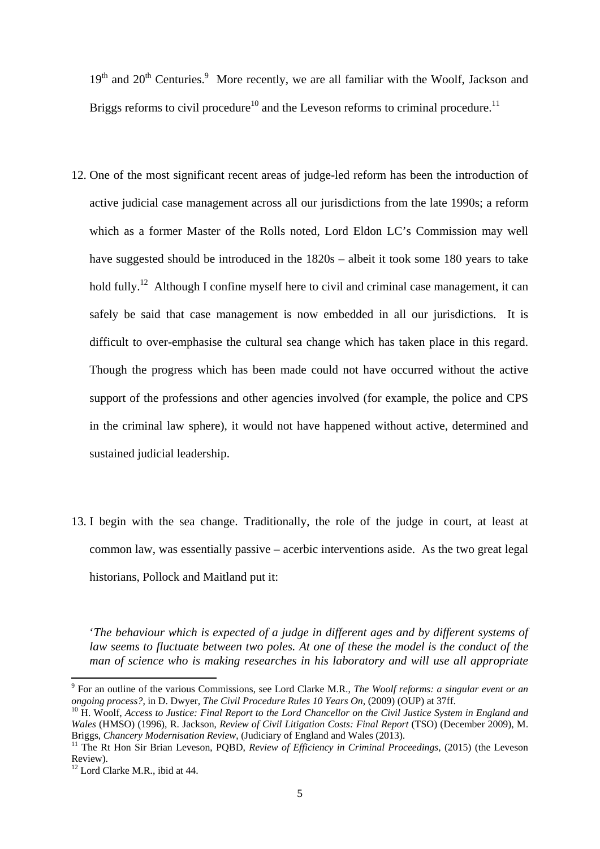Briggs reforms to civil procedure<sup>10</sup> and the Leveson reforms to criminal procedure.<sup>11</sup>  $19<sup>th</sup>$  and  $20<sup>th</sup>$  Centuries.<sup>9</sup> More recently, we are all familiar with the Woolf, Jackson and

- 12. One of the most significant recent areas of judge-led reform has been the introduction of active judicial case management across all our jurisdictions from the late 1990s; a reform which as a former Master of the Rolls noted, Lord Eldon LC's Commission may well have suggested should be introduced in the 1820s – albeit it took some 180 years to take hold fully.<sup>12</sup> Although I confine myself here to civil and criminal case management, it can safely be said that case management is now embedded in all our jurisdictions. It is difficult to over-emphasise the cultural sea change which has taken place in this regard. Though the progress which has been made could not have occurred without the active support of the professions and other agencies involved (for example, the police and CPS in the criminal law sphere), it would not have happened without active, determined and sustained judicial leadership.
- 13. I begin with the sea change. Traditionally, the role of the judge in court, at least at common law, was essentially passive – acerbic interventions aside. As the two great legal historians, Pollock and Maitland put it:

'*The behaviour which is expected of a judge in different ages and by different systems of law seems to fluctuate between two poles. At one of these the model is the conduct of the man of science who is making researches in his laboratory and will use all appropriate* 

 9 For an outline of the various Commissions, see Lord Clarke M.R., *The Woolf reforms: a singular event or an ongoing process?*, in D. Dwyer, *The Civil Procedure Rules 10 Years On*, (2009) (OUP) at 37ff. ongoing process?, in D. Dwyer, *The Civil Procedure Rules 10 Years On*, (2009) (OUP) at 37ff.<br><sup>10</sup> H. Woolf, Access to Justice: Final Report to the Lord Chancellor on the Civil Justice System in England and

*Wales* (HMSO) (1996), R. Jackson, *Review of Civil Litigation Costs: Final Report* (TSO) (December 2009), M. Briggs, *Chancery Modernisation Review*, (Judiciary of England and Wales (2013). Briggs, *Chancery Modernisation Review*, (Judiciary of England and Wales (2013).<br><sup>11</sup> The Rt Hon Sir Brian Leveson, PQBD, *Review of Efficiency in Criminal Proceedings*, (2015) (the Leveson

Review).

 $12$  Lord Clarke M.R., ibid at 44.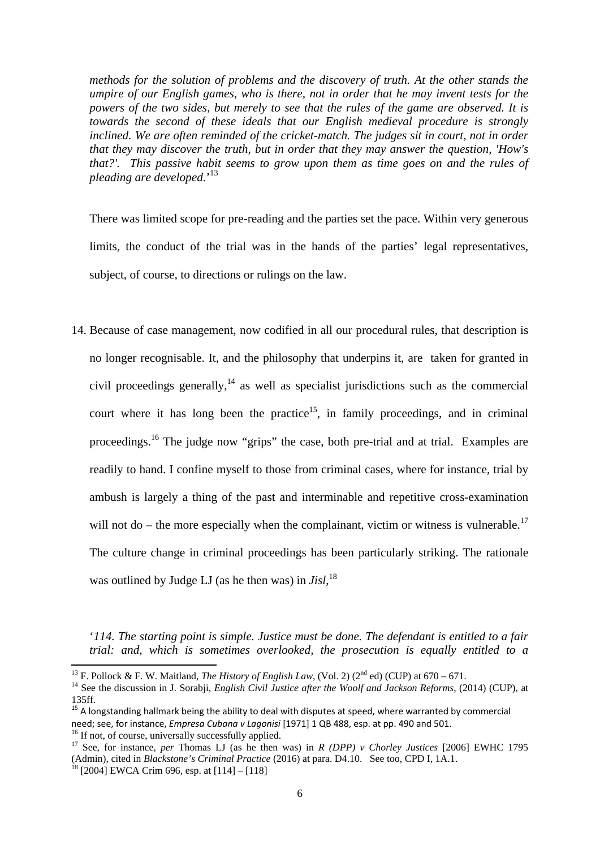*methods for the solution of problems and the discovery of truth. At the other stands the umpire of our English games, who is there, not in order that he may invent tests for the powers of the two sides, but merely to see that the rules of the game are observed. It is towards the second of these ideals that our English medieval procedure is strongly inclined. We are often reminded of the cricket-match. The judges sit in court, not in order that they may discover the truth, but in order that they may answer the question, 'How's that?'. This passive habit seems to grow upon them as time goes on and the rules of pleading are developed.*' 13

There was limited scope for pre-reading and the parties set the pace. Within very generous limits, the conduct of the trial was in the hands of the parties' legal representatives, subject, of course, to directions or rulings on the law.

14. Because of case management, now codified in all our procedural rules, that description is no longer recognisable. It, and the philosophy that underpins it, are taken for granted in civil proceedings generally, $<sup>14</sup>$  as well as specialist jurisdictions such as the commercial</sup> court where it has long been the practice<sup>15</sup>, in family proceedings, and in criminal proceedings.16 The judge now "grips" the case, both pre-trial and at trial. Examples are readily to hand. I confine myself to those from criminal cases, where for instance, trial by ambush is largely a thing of the past and interminable and repetitive cross-examination will not do – the more especially when the complainant, victim or witness is vulnerable.<sup>17</sup> The culture change in criminal proceedings has been particularly striking. The rationale was outlined by Judge LJ (as he then was) in *Jisl*, 18

'*114. The starting point is simple. Justice must be done. The defendant is entitled to a fair trial: and, which is sometimes overlooked, the prosecution is equally entitled to a* 

<sup>&</sup>lt;sup>13</sup> F. Pollock & F. W. Maitland, *The History of English Law*, (Vol. 2) ( $2^{nd}$  ed) (CUP) at 670 – 671.

<sup>&</sup>lt;sup>13</sup> F. Pollock & F. W. Maitland, *The History of English Law*, (Vol. 2) ( $2^{nd}$  ed) (CUP) at 670 – 671.<br><sup>14</sup> See the discussion in J. Sorabji, *English Civil Justice after the Woolf and Jackson Reforms*, (2014) (CUP), at 135ff.<br><sup>15</sup> A longstanding hallmark being the ability to deal with disputes at speed, where warranted by commercial

A longstanding hallmark being the ability to deal with disputes at speed, where warranted by commercial need; see, for instance, *Empresa Cubana v Lagonisi* [1971] 1 QB 488, esp. at pp. 490 and 501. <sup>16</sup> If not, of course, universally successfully applied.

 (Admin), cited in *Blackstone's Criminal Practice* (2016) at para. D4.10. See too, CPD I, 1A.1. 18 [2004] EWCA Crim 696, esp. at [114] – [118] <sup>16</sup> If not, of course, universally successfully applied.<br><sup>17</sup> See, for instance, *per* Thomas LJ (as he then was) in *R (DPP) v Chorley Justices* [2006] EWHC 1795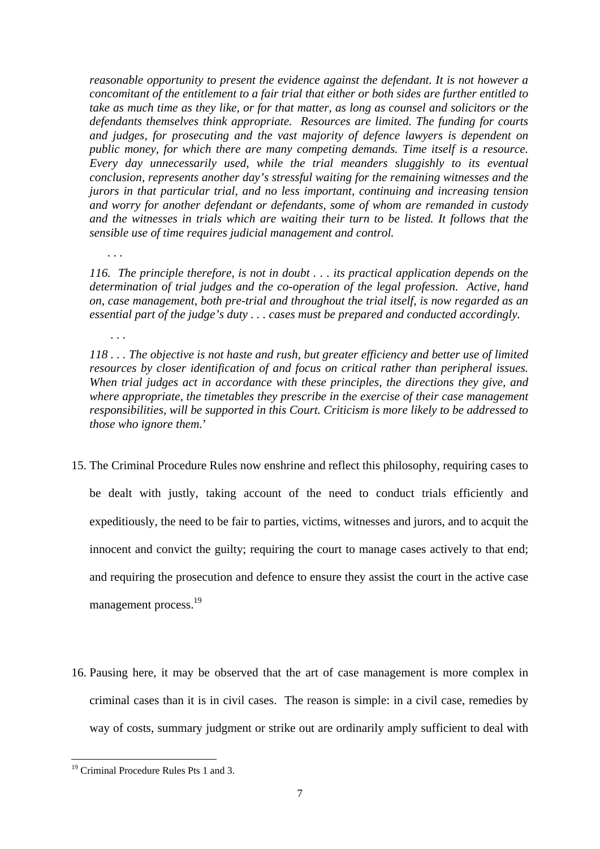*reasonable opportunity to present the evidence against the defendant. It is not however a concomitant of the entitlement to a fair trial that either or both sides are further entitled to take as much time as they like, or for that matter, as long as counsel and solicitors or the defendants themselves think appropriate. Resources are limited. The funding for courts and judges, for prosecuting and the vast majority of defence lawyers is dependent on public money, for which there are many competing demands. Time itself is a resource. Every day unnecessarily used, while the trial meanders sluggishly to its eventual conclusion, represents another day's stressful waiting for the remaining witnesses and the jurors in that particular trial, and no less important, continuing and increasing tension and worry for another defendant or defendants, some of whom are remanded in custody and the witnesses in trials which are waiting their turn to be listed. It follows that the sensible use of time requires judicial management and control.* 

*. . .* 

*. . .* 

*116. The principle therefore, is not in doubt . . . its practical application depends on the determination of trial judges and the co-operation of the legal profession. Active, hand on, case management, both pre-trial and throughout the trial itself, is now regarded as an essential part of the judge's duty . . . cases must be prepared and conducted accordingly.* 

*118 . . . The objective is not haste and rush, but greater efficiency and better use of limited resources by closer identification of and focus on critical rather than peripheral issues. When trial judges act in accordance with these principles, the directions they give, and where appropriate, the timetables they prescribe in the exercise of their case management responsibilities, will be supported in this Court. Criticism is more likely to be addressed to those who ignore them.*'

- management process.<sup>19</sup> 15. The Criminal Procedure Rules now enshrine and reflect this philosophy, requiring cases to be dealt with justly, taking account of the need to conduct trials efficiently and expeditiously, the need to be fair to parties, victims, witnesses and jurors, and to acquit the innocent and convict the guilty; requiring the court to manage cases actively to that end; and requiring the prosecution and defence to ensure they assist the court in the active case
- 16. Pausing here, it may be observed that the art of case management is more complex in criminal cases than it is in civil cases. The reason is simple: in a civil case, remedies by way of costs, summary judgment or strike out are ordinarily amply sufficient to deal with

 <sup>19</sup> Criminal Procedure Rules Pts 1 and 3.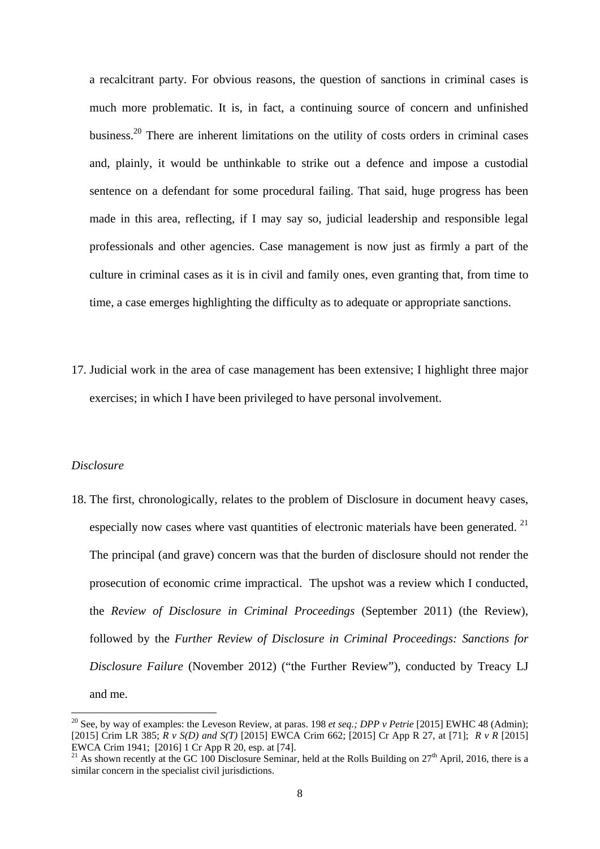a recalcitrant party. For obvious reasons, the question of sanctions in criminal cases is much more problematic. It is, in fact, a continuing source of concern and unfinished business.<sup>20</sup> There are inherent limitations on the utility of costs orders in criminal cases and, plainly, it would be unthinkable to strike out a defence and impose a custodial sentence on a defendant for some procedural failing. That said, huge progress has been made in this area, reflecting, if I may say so, judicial leadership and responsible legal professionals and other agencies. Case management is now just as firmly a part of the culture in criminal cases as it is in civil and family ones, even granting that, from time to time, a case emerges highlighting the difficulty as to adequate or appropriate sanctions.

17. Judicial work in the area of case management has been extensive; I highlight three major exercises; in which I have been privileged to have personal involvement.

### *Disclosure*

18. The first, chronologically, relates to the problem of Disclosure in document heavy cases, especially now cases where vast quantities of electronic materials have been generated.  $21$ The principal (and grave) concern was that the burden of disclosure should not render the prosecution of economic crime impractical. The upshot was a review which I conducted, the *Review of Disclosure in Criminal Proceedings* (September 2011) (the Review), followed by the *Further Review of Disclosure in Criminal Proceedings: Sanctions for Disclosure Failure* (November 2012) ("the Further Review"), conducted by Treacy LJ and me.

 [2015] Crim LR 385; *R v S(D) and S(T)* [2015] EWCA Crim 662; [2015] Cr App R 27, at [71]; *R v R* [2015] EWCA Crim 1941; [2016] 1 Cr App R 20, esp. at [74]. 20 See, by way of examples: the Leveson Review, at paras. 198 *et seq.; DPP v Petrie* [2015] EWHC 48 (Admin);

<sup>&</sup>lt;sup>21</sup> As shown recently at the GC 100 Disclosure Seminar, held at the Rolls Building on  $27<sup>th</sup>$  April, 2016, there is a similar concern in the specialist civil jurisdictions.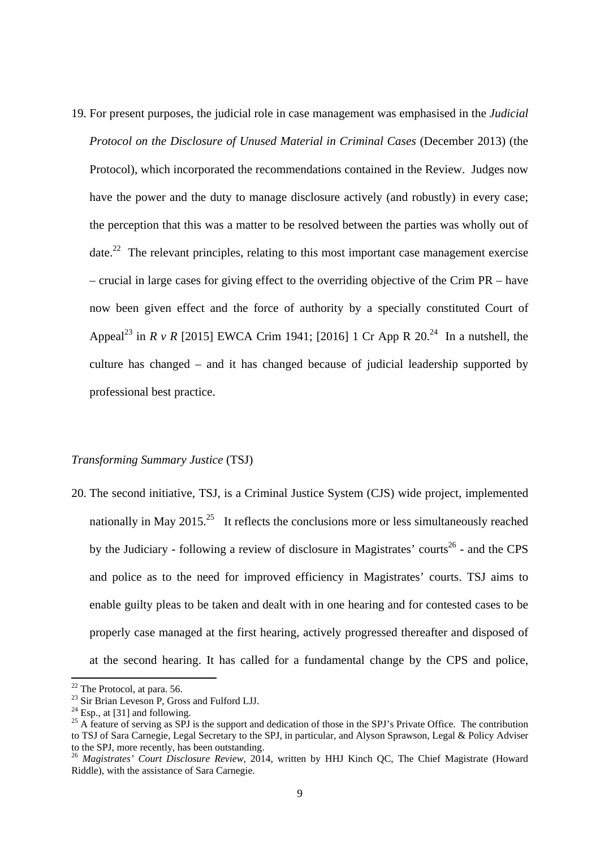19. For present purposes, the judicial role in case management was emphasised in the *Judicial Protocol on the Disclosure of Unused Material in Criminal Cases* (December 2013) (the Protocol), which incorporated the recommendations contained in the Review. Judges now have the power and the duty to manage disclosure actively (and robustly) in every case; the perception that this was a matter to be resolved between the parties was wholly out of date.<sup>22</sup> The relevant principles, relating to this most important case management exercise – crucial in large cases for giving effect to the overriding objective of the Crim PR – have now been given effect and the force of authority by a specially constituted Court of Appeal<sup>23</sup> in *R v R* [2015] EWCA Crim 1941; [2016] 1 Cr App R 20.<sup>24</sup> In a nutshell, the culture has changed – and it has changed because of judicial leadership supported by professional best practice.

### *Transforming Summary Justice* (TSJ)

20. The second initiative, TSJ, is a Criminal Justice System (CJS) wide project, implemented nationally in May 2015.<sup>25</sup> It reflects the conclusions more or less simultaneously reached by the Judiciary - following a review of disclosure in Magistrates' courts<sup>26</sup> - and the CPS and police as to the need for improved efficiency in Magistrates' courts. TSJ aims to enable guilty pleas to be taken and dealt with in one hearing and for contested cases to be properly case managed at the first hearing, actively progressed thereafter and disposed of at the second hearing. It has called for a fundamental change by the CPS and police,

 $22$  The Protocol, at para. 56.

<sup>&</sup>lt;sup>22</sup> The Protocol, at para. 56.<br><sup>23</sup> Sir Brian Leveson P, Gross and Fulford LJJ. <sup>23</sup> Sir Brian Leveson P, Gross and Fulford LJJ.<br><sup>24</sup> Esp., at [31] and following.

<sup>&</sup>lt;sup>24</sup> Esp., at [31] and following.<br><sup>25</sup> A feature of serving as SPJ is the support and dedication of those in the SPJ's Private Office. The contribution to TSJ of Sara Carnegie, Legal Secretary to the SPJ, in particular, and Alyson Sprawson, Legal & Policy Adviser to the SPJ, more recently, has been outstanding.

<sup>26</sup>*Magistrates' Court Disclosure Review*, 2014, written by HHJ Kinch QC, The Chief Magistrate (Howard Riddle), with the assistance of Sara Carnegie.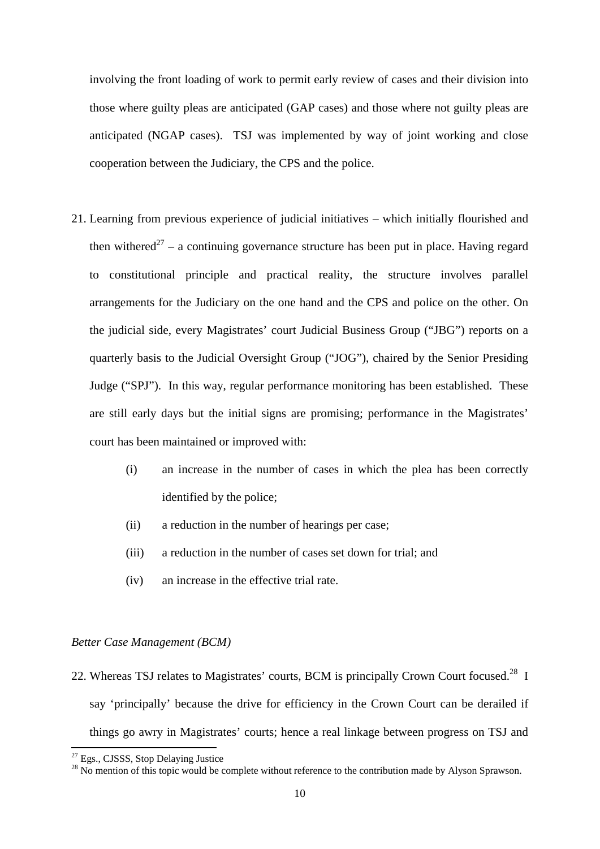involving the front loading of work to permit early review of cases and their division into those where guilty pleas are anticipated (GAP cases) and those where not guilty pleas are anticipated (NGAP cases). TSJ was implemented by way of joint working and close cooperation between the Judiciary, the CPS and the police.

- 21. Learning from previous experience of judicial initiatives which initially flourished and then withered<sup>27</sup> – a continuing governance structure has been put in place. Having regard to constitutional principle and practical reality, the structure involves parallel arrangements for the Judiciary on the one hand and the CPS and police on the other. On the judicial side, every Magistrates' court Judicial Business Group ("JBG") reports on a quarterly basis to the Judicial Oversight Group ("JOG"), chaired by the Senior Presiding Judge ("SPJ"). In this way, regular performance monitoring has been established. These are still early days but the initial signs are promising; performance in the Magistrates' court has been maintained or improved with:
	- (i) an increase in the number of cases in which the plea has been correctly identified by the police;
	- (ii) a reduction in the number of hearings per case;
	- (iii) a reduction in the number of cases set down for trial; and
	- (iv) an increase in the effective trial rate.

## *Better Case Management (BCM)*

22. Whereas TSJ relates to Magistrates' courts, BCM is principally Crown Court focused.<sup>28</sup> I say 'principally' because the drive for efficiency in the Crown Court can be derailed if things go awry in Magistrates' courts; hence a real linkage between progress on TSJ and

 <sup>27</sup> Egs., CJSSS, Stop Delaying Justice

<sup>&</sup>lt;sup>27</sup> Egs., CJSSS, Stop Delaying Justice<br><sup>28</sup> No mention of this topic would be complete without reference to the contribution made by Alyson Sprawson.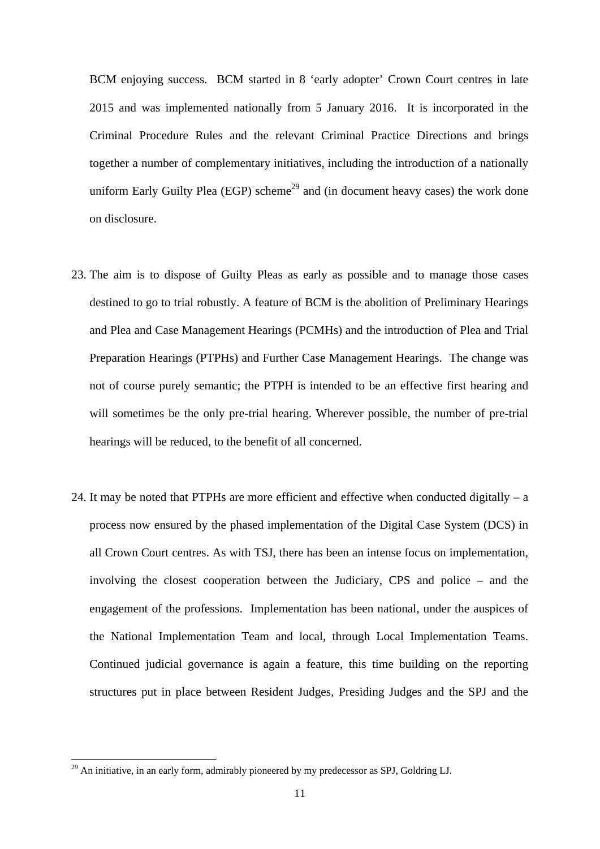BCM enjoying success. BCM started in 8 'early adopter' Crown Court centres in late 2015 and was implemented nationally from 5 January 2016. It is incorporated in the Criminal Procedure Rules and the relevant Criminal Practice Directions and brings together a number of complementary initiatives, including the introduction of a nationally uniform Early Guilty Plea (EGP) scheme<sup>29</sup> and (in document heavy cases) the work done on disclosure.

- 23. The aim is to dispose of Guilty Pleas as early as possible and to manage those cases destined to go to trial robustly. A feature of BCM is the abolition of Preliminary Hearings and Plea and Case Management Hearings (PCMHs) and the introduction of Plea and Trial Preparation Hearings (PTPHs) and Further Case Management Hearings. The change was not of course purely semantic; the PTPH is intended to be an effective first hearing and will sometimes be the only pre-trial hearing. Wherever possible, the number of pre-trial hearings will be reduced, to the benefit of all concerned.
- 24. It may be noted that PTPHs are more efficient and effective when conducted digitally  $-$  a process now ensured by the phased implementation of the Digital Case System (DCS) in all Crown Court centres. As with TSJ, there has been an intense focus on implementation, involving the closest cooperation between the Judiciary, CPS and police – and the engagement of the professions. Implementation has been national, under the auspices of the National Implementation Team and local, through Local Implementation Teams. Continued judicial governance is again a feature, this time building on the reporting structures put in place between Resident Judges, Presiding Judges and the SPJ and the

 $^{29}$  An initiative, in an early form, admirably pioneered by my predecessor as SPJ, Goldring LJ.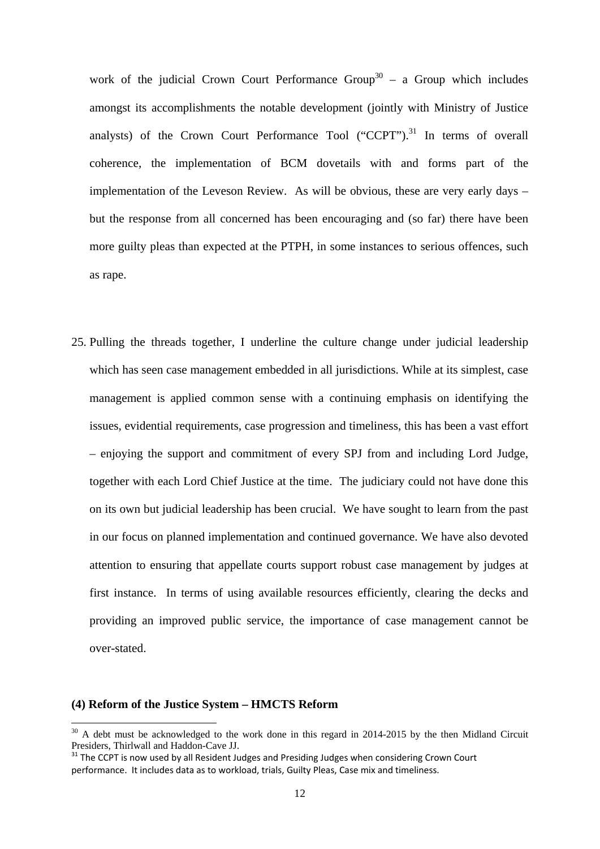work of the judicial Crown Court Performance Group<sup>30</sup> – a Group which includes amongst its accomplishments the notable development (jointly with Ministry of Justice analysts) of the Crown Court Performance Tool  $("CCPT")$ .<sup>31</sup> In terms of overall coherence, the implementation of BCM dovetails with and forms part of the implementation of the Leveson Review. As will be obvious, these are very early days – but the response from all concerned has been encouraging and (so far) there have been more guilty pleas than expected at the PTPH, in some instances to serious offences, such as rape.

25. Pulling the threads together, I underline the culture change under judicial leadership which has seen case management embedded in all jurisdictions. While at its simplest, case management is applied common sense with a continuing emphasis on identifying the issues, evidential requirements, case progression and timeliness, this has been a vast effort – enjoying the support and commitment of every SPJ from and including Lord Judge, together with each Lord Chief Justice at the time. The judiciary could not have done this on its own but judicial leadership has been crucial. We have sought to learn from the past in our focus on planned implementation and continued governance. We have also devoted attention to ensuring that appellate courts support robust case management by judges at first instance. In terms of using available resources efficiently, clearing the decks and providing an improved public service, the importance of case management cannot be over-stated.

### **(4) Reform of the Justice System – HMCTS Reform**

 $30$  A debt must be acknowledged to the work done in this regard in 2014-2015 by the then Midland Circuit Presiders, Thirlwall and Haddon-Cave JJ.

 $31$  The CCPT is now used by all Resident Judges and Presiding Judges when considering Crown Court performance. It includes data as to workload, trials, Guilty Pleas, Case mix and timeliness.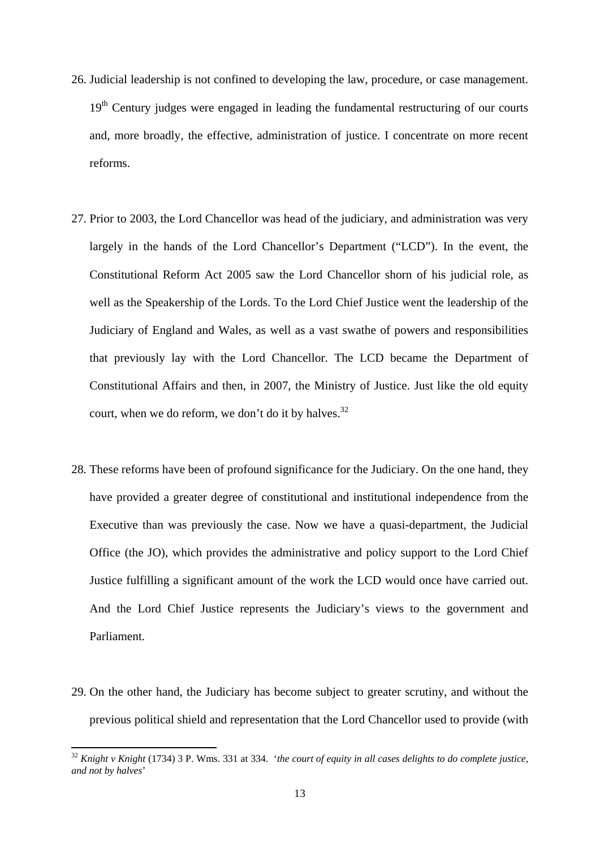- 26. Judicial leadership is not confined to developing the law, procedure, or case management. 19<sup>th</sup> Century judges were engaged in leading the fundamental restructuring of our courts and, more broadly, the effective, administration of justice. I concentrate on more recent reforms.
- court, when we do reform, we don't do it by halves.<sup>32</sup> 27. Prior to 2003, the Lord Chancellor was head of the judiciary, and administration was very largely in the hands of the Lord Chancellor's Department ("LCD"). In the event, the Constitutional Reform Act 2005 saw the Lord Chancellor shorn of his judicial role, as well as the Speakership of the Lords. To the Lord Chief Justice went the leadership of the Judiciary of England and Wales, as well as a vast swathe of powers and responsibilities that previously lay with the Lord Chancellor. The LCD became the Department of Constitutional Affairs and then, in 2007, the Ministry of Justice. Just like the old equity
- 28. These reforms have been of profound significance for the Judiciary. On the one hand, they have provided a greater degree of constitutional and institutional independence from the Executive than was previously the case. Now we have a quasi-department, the Judicial Office (the JO), which provides the administrative and policy support to the Lord Chief Justice fulfilling a significant amount of the work the LCD would once have carried out. And the Lord Chief Justice represents the Judiciary's views to the government and Parliament.
- 29. On the other hand, the Judiciary has become subject to greater scrutiny, and without the previous political shield and representation that the Lord Chancellor used to provide (with

 <sup>32</sup>*Knight v Knight* (1734) 3 P. Wms. 331 at 334. '*the court of equity in all cases delights to do complete justice, and not by halves*'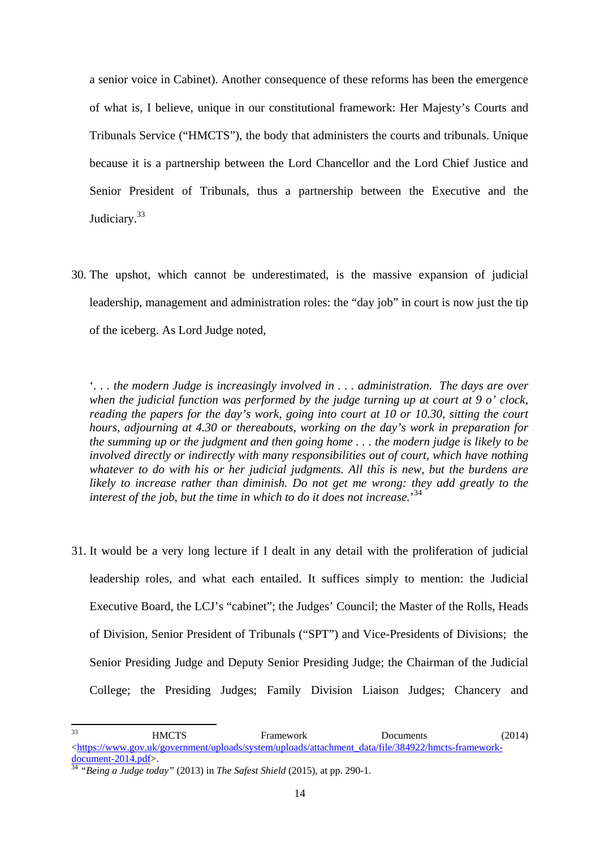a senior voice in Cabinet). Another consequence of these reforms has been the emergence of what is, I believe, unique in our constitutional framework: Her Majesty's Courts and Tribunals Service ("HMCTS"), the body that administers the courts and tribunals. Unique because it is a partnership between the Lord Chancellor and the Lord Chief Justice and Senior President of Tribunals, thus a partnership between the Executive and the Judiciary.<sup>33</sup>

30. The upshot, which cannot be underestimated, is the massive expansion of judicial leadership, management and administration roles: the "day job" in court is now just the tip of the iceberg. As Lord Judge noted,

'*. . . the modern Judge is increasingly involved in . . . administration. The days are over when the judicial function was performed by the judge turning up at court at 9 o' clock, reading the papers for the day's work, going into court at 10 or 10.30, sitting the court hours, adjourning at 4.30 or thereabouts, working on the day's work in preparation for the summing up or the judgment and then going home . . . the modern judge is likely to be involved directly or indirectly with many responsibilities out of court, which have nothing whatever to do with his or her judicial judgments. All this is new, but the burdens are likely to increase rather than diminish. Do not get me wrong: they add greatly to the interest of the job, but the time in which to do it does not increase.*' 34

31. It would be a very long lecture if I dealt in any detail with the proliferation of judicial leadership roles, and what each entailed. It suffices simply to mention: the Judicial Executive Board, the LCJ's "cabinet"; the Judges' Council; the Master of the Rolls, Heads of Division, Senior President of Tribunals ("SPT") and Vice-Presidents of Divisions; the Senior Presiding Judge and Deputy Senior Presiding Judge; the Chairman of the Judicial College; the Presiding Judges; Family Division Liaison Judges; Chancery and

HMCTS Framework Documents (2014)  $\lt$ https://www.gov.uk/government/uploads/system/uploads/attachment\_data/file/384922/hmcts-frameworkdocument-2014.pdf>.<br><sup>34</sup> *"Being a Judge today"* (2013) in *The Safest Shield* (2015), at pp. 290-1. 33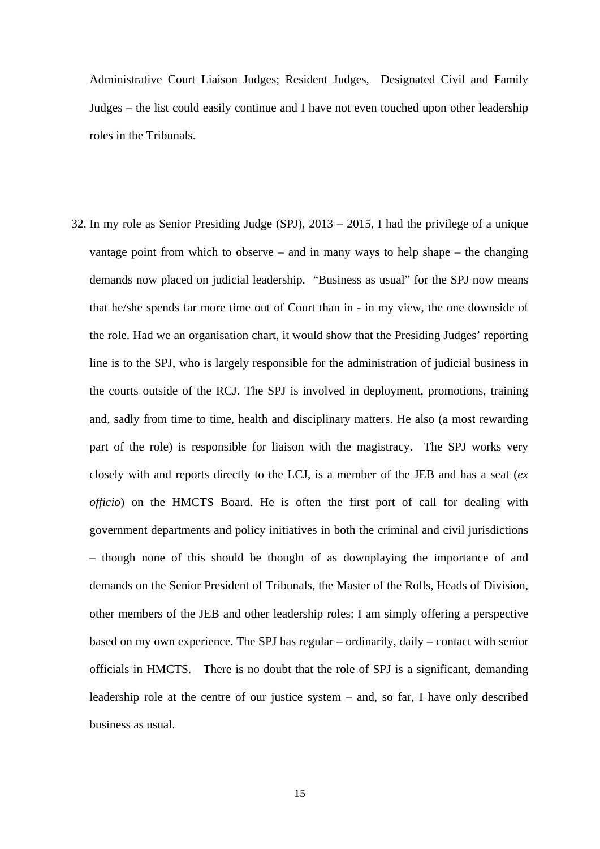Administrative Court Liaison Judges; Resident Judges, Designated Civil and Family Judges – the list could easily continue and I have not even touched upon other leadership roles in the Tribunals.

32. In my role as Senior Presiding Judge (SPJ), 2013 – 2015, I had the privilege of a unique vantage point from which to observe – and in many ways to help shape – the changing demands now placed on judicial leadership. "Business as usual" for the SPJ now means that he/she spends far more time out of Court than in - in my view, the one downside of the role. Had we an organisation chart, it would show that the Presiding Judges' reporting line is to the SPJ, who is largely responsible for the administration of judicial business in the courts outside of the RCJ. The SPJ is involved in deployment, promotions, training and, sadly from time to time, health and disciplinary matters. He also (a most rewarding part of the role) is responsible for liaison with the magistracy. The SPJ works very closely with and reports directly to the LCJ, is a member of the JEB and has a seat (*ex officio*) on the HMCTS Board. He is often the first port of call for dealing with government departments and policy initiatives in both the criminal and civil jurisdictions – though none of this should be thought of as downplaying the importance of and demands on the Senior President of Tribunals, the Master of the Rolls, Heads of Division, other members of the JEB and other leadership roles: I am simply offering a perspective based on my own experience. The SPJ has regular – ordinarily, daily – contact with senior officials in HMCTS. There is no doubt that the role of SPJ is a significant, demanding leadership role at the centre of our justice system – and, so far, I have only described business as usual.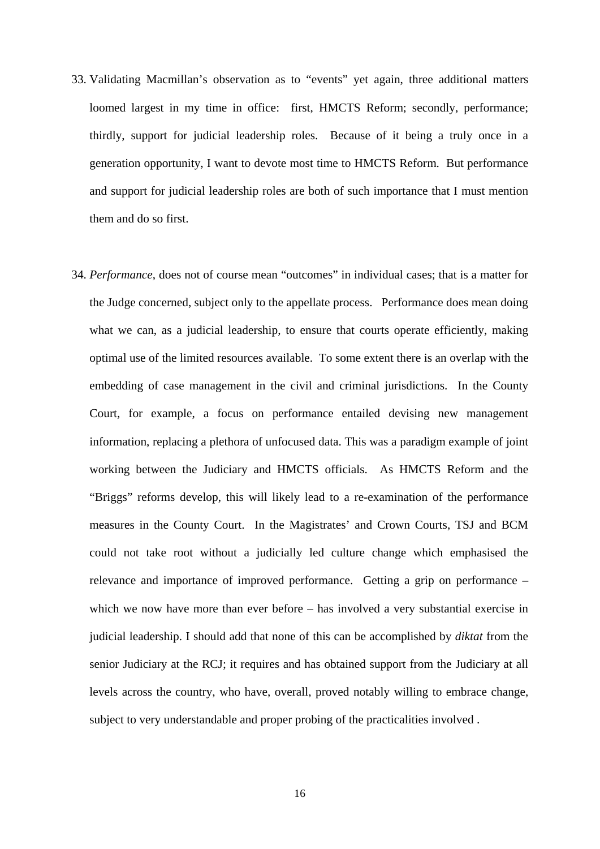- 33. Validating Macmillan's observation as to "events" yet again, three additional matters loomed largest in my time in office: first, HMCTS Reform; secondly, performance; thirdly, support for judicial leadership roles. Because of it being a truly once in a generation opportunity, I want to devote most time to HMCTS Reform. But performance and support for judicial leadership roles are both of such importance that I must mention them and do so first.
- 34. *Performance*, does not of course mean "outcomes" in individual cases; that is a matter for the Judge concerned, subject only to the appellate process. Performance does mean doing what we can, as a judicial leadership, to ensure that courts operate efficiently, making optimal use of the limited resources available. To some extent there is an overlap with the embedding of case management in the civil and criminal jurisdictions. In the County Court, for example, a focus on performance entailed devising new management information, replacing a plethora of unfocused data. This was a paradigm example of joint working between the Judiciary and HMCTS officials. As HMCTS Reform and the "Briggs" reforms develop, this will likely lead to a re-examination of the performance measures in the County Court. In the Magistrates' and Crown Courts, TSJ and BCM could not take root without a judicially led culture change which emphasised the relevance and importance of improved performance. Getting a grip on performance – which we now have more than ever before – has involved a very substantial exercise in judicial leadership. I should add that none of this can be accomplished by *diktat* from the senior Judiciary at the RCJ; it requires and has obtained support from the Judiciary at all levels across the country, who have, overall, proved notably willing to embrace change, subject to very understandable and proper probing of the practicalities involved .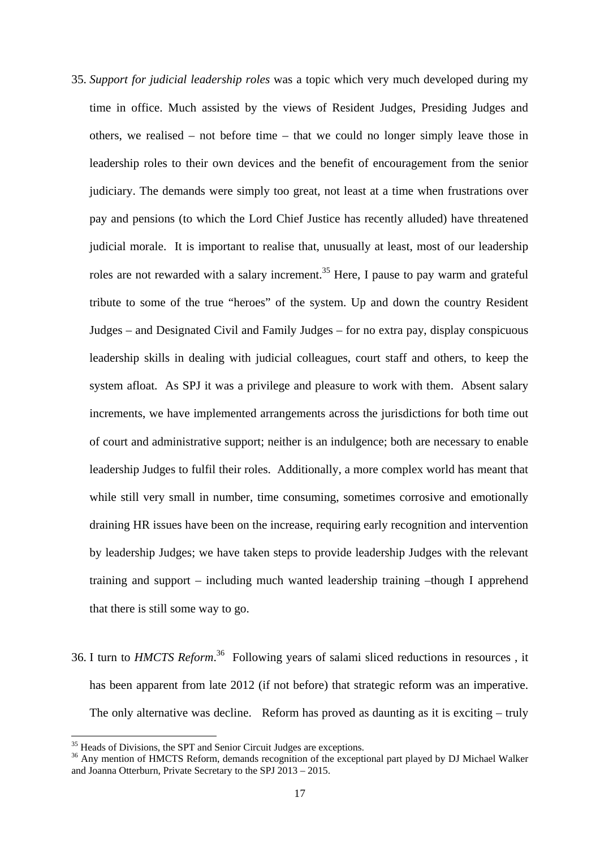- 35. *Support for judicial leadership roles* was a topic which very much developed during my time in office. Much assisted by the views of Resident Judges, Presiding Judges and others, we realised – not before time – that we could no longer simply leave those in leadership roles to their own devices and the benefit of encouragement from the senior judiciary. The demands were simply too great, not least at a time when frustrations over pay and pensions (to which the Lord Chief Justice has recently alluded) have threatened judicial morale. It is important to realise that, unusually at least, most of our leadership roles are not rewarded with a salary increment.<sup>35</sup> Here, I pause to pay warm and grateful tribute to some of the true "heroes" of the system. Up and down the country Resident Judges – and Designated Civil and Family Judges – for no extra pay, display conspicuous leadership skills in dealing with judicial colleagues, court staff and others, to keep the system afloat. As SPJ it was a privilege and pleasure to work with them. Absent salary increments, we have implemented arrangements across the jurisdictions for both time out of court and administrative support; neither is an indulgence; both are necessary to enable leadership Judges to fulfil their roles. Additionally, a more complex world has meant that while still very small in number, time consuming, sometimes corrosive and emotionally draining HR issues have been on the increase, requiring early recognition and intervention by leadership Judges; we have taken steps to provide leadership Judges with the relevant training and support – including much wanted leadership training –though I apprehend that there is still some way to go.
- 36. I turn to *HMCTS Reform*.<sup>36</sup> Following years of salami sliced reductions in resources, it has been apparent from late 2012 (if not before) that strategic reform was an imperative. The only alternative was decline. Reform has proved as daunting as it is exciting – truly

<sup>&</sup>lt;sup>35</sup> Heads of Divisions, the SPT and Senior Circuit Judges are exceptions.

<sup>&</sup>lt;sup>36</sup> Any mention of HMCTS Reform, demands recognition of the exceptional part played by DJ Michael Walker and Joanna Otterburn, Private Secretary to the SPJ 2013 – 2015.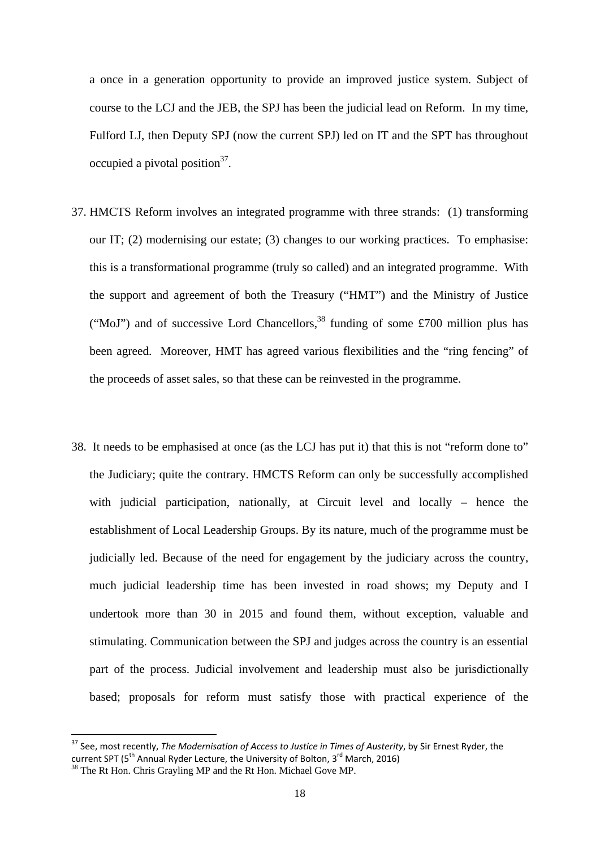a once in a generation opportunity to provide an improved justice system. Subject of course to the LCJ and the JEB, the SPJ has been the judicial lead on Reform. In my time, Fulford LJ, then Deputy SPJ (now the current SPJ) led on IT and the SPT has throughout occupied a pivotal position $37$ .

- 37. HMCTS Reform involves an integrated programme with three strands: (1) transforming our IT; (2) modernising our estate; (3) changes to our working practices. To emphasise: this is a transformational programme (truly so called) and an integrated programme. With the support and agreement of both the Treasury ("HMT") and the Ministry of Justice ("MoJ") and of successive Lord Chancellors,<sup>38</sup> funding of some £700 million plus has been agreed. Moreover, HMT has agreed various flexibilities and the "ring fencing" of the proceeds of asset sales, so that these can be reinvested in the programme.
- 38. It needs to be emphasised at once (as the LCJ has put it) that this is not "reform done to" the Judiciary; quite the contrary. HMCTS Reform can only be successfully accomplished with judicial participation, nationally, at Circuit level and locally – hence the establishment of Local Leadership Groups. By its nature, much of the programme must be judicially led. Because of the need for engagement by the judiciary across the country, much judicial leadership time has been invested in road shows; my Deputy and I undertook more than 30 in 2015 and found them, without exception, valuable and stimulating. Communication between the SPJ and judges across the country is an essential part of the process. Judicial involvement and leadership must also be jurisdictionally based; proposals for reform must satisfy those with practical experience of the

  <sup>37</sup> See, most recently, *The Modernisation of Access to Justice in Times of Austerity*, by Sir Ernest Ryder, the current SPT (5<sup>th</sup> Annual Ryder Lecture, the University of Bolton, 3<sup>rd</sup> March, 2016)<br><sup>38</sup> The Rt Hon. Chris Grayling MP and the Rt Hon. Michael Gove MP.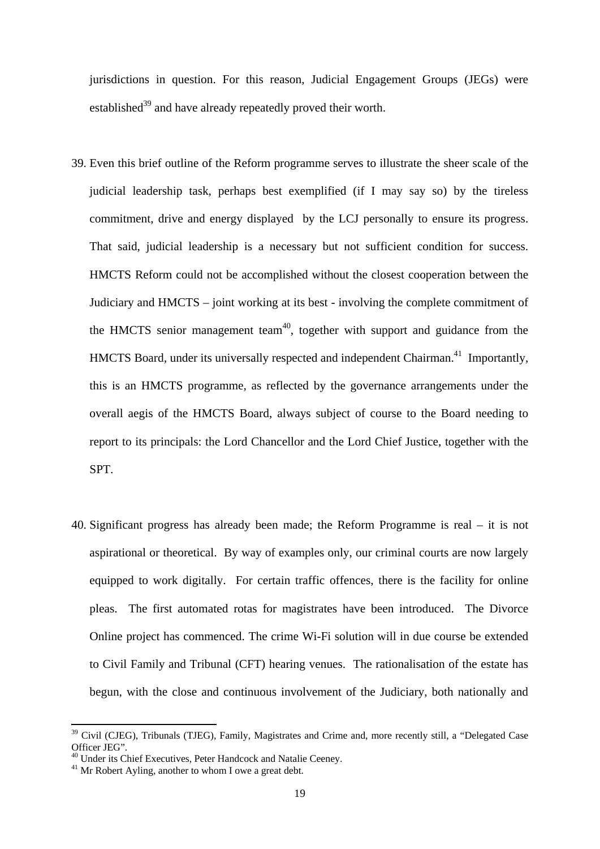jurisdictions in question. For this reason, Judicial Engagement Groups (JEGs) were established<sup>39</sup> and have already repeatedly proved their worth.

- 39. Even this brief outline of the Reform programme serves to illustrate the sheer scale of the judicial leadership task, perhaps best exemplified (if I may say so) by the tireless commitment, drive and energy displayed by the LCJ personally to ensure its progress. That said, judicial leadership is a necessary but not sufficient condition for success. HMCTS Reform could not be accomplished without the closest cooperation between the Judiciary and HMCTS – joint working at its best - involving the complete commitment of the HMCTS senior management team<sup>40</sup>, together with support and guidance from the HMCTS Board, under its universally respected and independent Chairman.<sup>41</sup> Importantly, this is an HMCTS programme, as reflected by the governance arrangements under the overall aegis of the HMCTS Board, always subject of course to the Board needing to report to its principals: the Lord Chancellor and the Lord Chief Justice, together with the SPT.
- 40. Significant progress has already been made; the Reform Programme is real it is not aspirational or theoretical. By way of examples only, our criminal courts are now largely equipped to work digitally. For certain traffic offences, there is the facility for online pleas. The first automated rotas for magistrates have been introduced. The Divorce Online project has commenced. The crime Wi-Fi solution will in due course be extended to Civil Family and Tribunal (CFT) hearing venues. The rationalisation of the estate has begun, with the close and continuous involvement of the Judiciary, both nationally and

<sup>&</sup>lt;sup>39</sup> Civil (CJEG), Tribunals (TJEG), Family, Magistrates and Crime and, more recently still, a "Delegated Case Officer JEG".

40 Under its Chief Executives, Peter Handcock and Natalie Ceeney.

<sup>&</sup>lt;sup>41</sup> Mr Robert Ayling, another to whom I owe a great debt.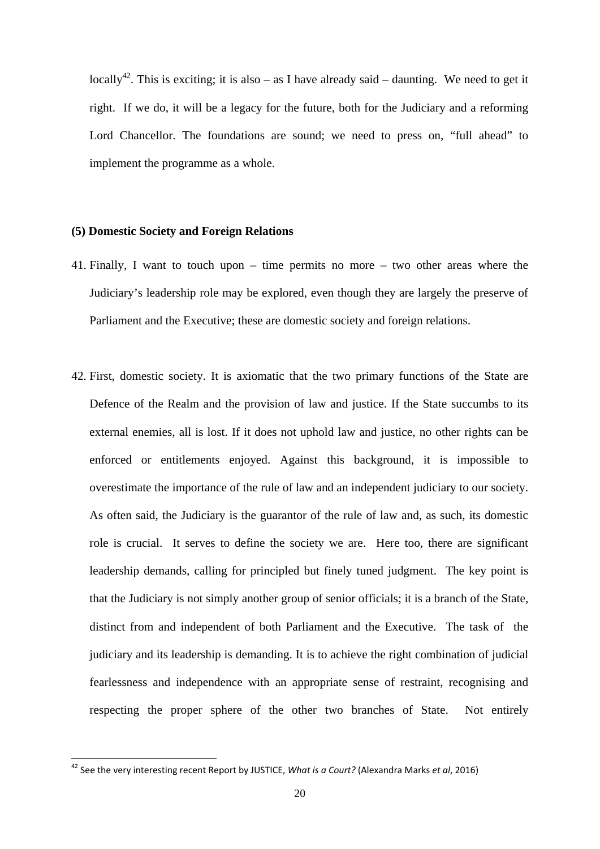locally<sup>42</sup>. This is exciting; it is also – as I have already said – daunting. We need to get it right. If we do, it will be a legacy for the future, both for the Judiciary and a reforming Lord Chancellor. The foundations are sound; we need to press on, "full ahead" to implement the programme as a whole.

## **(5) Domestic Society and Foreign Relations**

- 41. Finally, I want to touch upon time permits no more two other areas where the Judiciary's leadership role may be explored, even though they are largely the preserve of Parliament and the Executive; these are domestic society and foreign relations.
- 42. First, domestic society. It is axiomatic that the two primary functions of the State are Defence of the Realm and the provision of law and justice. If the State succumbs to its external enemies, all is lost. If it does not uphold law and justice, no other rights can be enforced or entitlements enjoyed. Against this background, it is impossible to overestimate the importance of the rule of law and an independent judiciary to our society. As often said, the Judiciary is the guarantor of the rule of law and, as such, its domestic role is crucial. It serves to define the society we are. Here too, there are significant leadership demands, calling for principled but finely tuned judgment. The key point is that the Judiciary is not simply another group of senior officials; it is a branch of the State, distinct from and independent of both Parliament and the Executive. The task of the judiciary and its leadership is demanding. It is to achieve the right combination of judicial fearlessness and independence with an appropriate sense of restraint, recognising and respecting the proper sphere of the other two branches of State. Not entirely

  <sup>42</sup> See the very interesting recent Report by JUSTICE, *What is a Court?* (Alexandra Marks *et al*, 2016)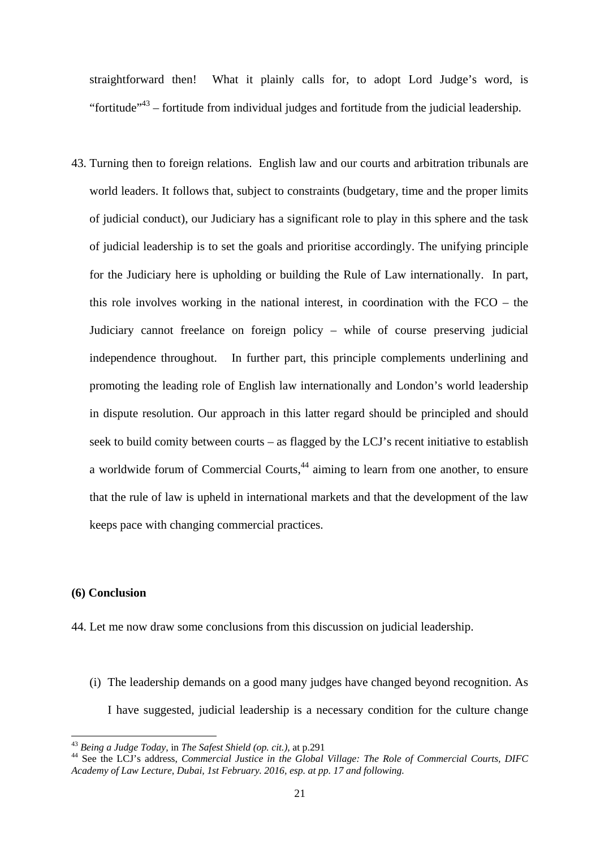straightforward then! What it plainly calls for, to adopt Lord Judge's word, is "fortitude"<sup>43</sup> – fortitude from individual judges and fortitude from the judicial leadership.

 keeps pace with changing commercial practices. 43. Turning then to foreign relations. English law and our courts and arbitration tribunals are world leaders. It follows that, subject to constraints (budgetary, time and the proper limits of judicial conduct), our Judiciary has a significant role to play in this sphere and the task of judicial leadership is to set the goals and prioritise accordingly. The unifying principle for the Judiciary here is upholding or building the Rule of Law internationally. In part, this role involves working in the national interest, in coordination with the FCO – the Judiciary cannot freelance on foreign policy – while of course preserving judicial independence throughout. In further part, this principle complements underlining and promoting the leading role of English law internationally and London's world leadership in dispute resolution. Our approach in this latter regard should be principled and should seek to build comity between courts – as flagged by the LCJ's recent initiative to establish a worldwide forum of Commercial Courts,<sup>44</sup> aiming to learn from one another, to ensure that the rule of law is upheld in international markets and that the development of the law

## **(6) Conclusion**

- 44. Let me now draw some conclusions from this discussion on judicial leadership.
	- (i) The leadership demands on a good many judges have changed beyond recognition. As I have suggested, judicial leadership is a necessary condition for the culture change

<sup>&</sup>lt;sup>43</sup> Being a Judge Today, in The Safest Shield (op. cit.), at p.291

 *Academy of Law Lecture, Dubai, 1st February. 2016, esp. at pp. 17 and following.*  <sup>44</sup> See the LCJ's address. *Commercial Justice in the Global Village: The Role of Commercial Courts, DIFC*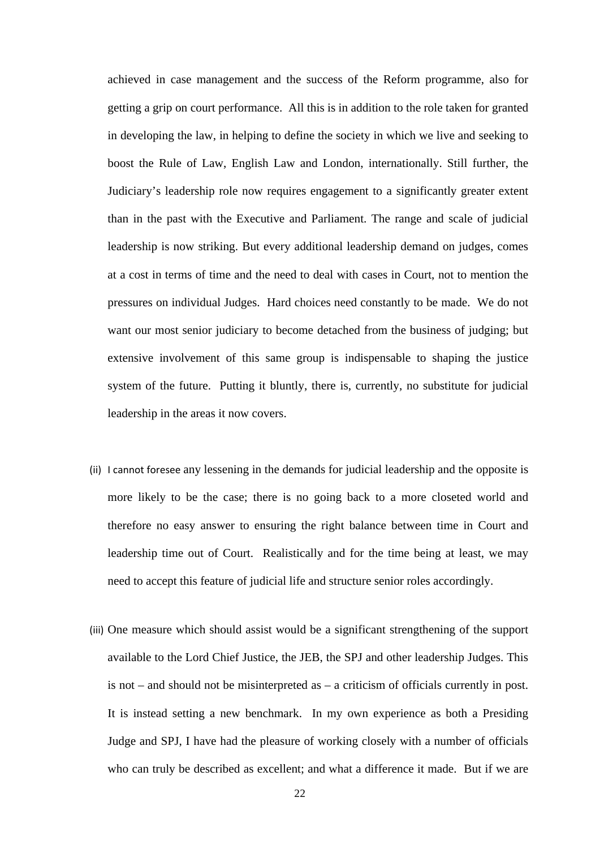achieved in case management and the success of the Reform programme, also for getting a grip on court performance. All this is in addition to the role taken for granted in developing the law, in helping to define the society in which we live and seeking to boost the Rule of Law, English Law and London, internationally. Still further, the Judiciary's leadership role now requires engagement to a significantly greater extent than in the past with the Executive and Parliament. The range and scale of judicial leadership is now striking. But every additional leadership demand on judges, comes at a cost in terms of time and the need to deal with cases in Court, not to mention the pressures on individual Judges. Hard choices need constantly to be made. We do not want our most senior judiciary to become detached from the business of judging; but extensive involvement of this same group is indispensable to shaping the justice system of the future. Putting it bluntly, there is, currently, no substitute for judicial leadership in the areas it now covers.

- (ii) I cannot foresee any lessening in the demands for judicial leadership and the opposite is more likely to be the case; there is no going back to a more closeted world and therefore no easy answer to ensuring the right balance between time in Court and leadership time out of Court. Realistically and for the time being at least, we may need to accept this feature of judicial life and structure senior roles accordingly.
- (iii) One measure which should assist would be a significant strengthening of the support available to the Lord Chief Justice, the JEB, the SPJ and other leadership Judges. This is not – and should not be misinterpreted as – a criticism of officials currently in post. It is instead setting a new benchmark. In my own experience as both a Presiding Judge and SPJ, I have had the pleasure of working closely with a number of officials who can truly be described as excellent; and what a difference it made. But if we are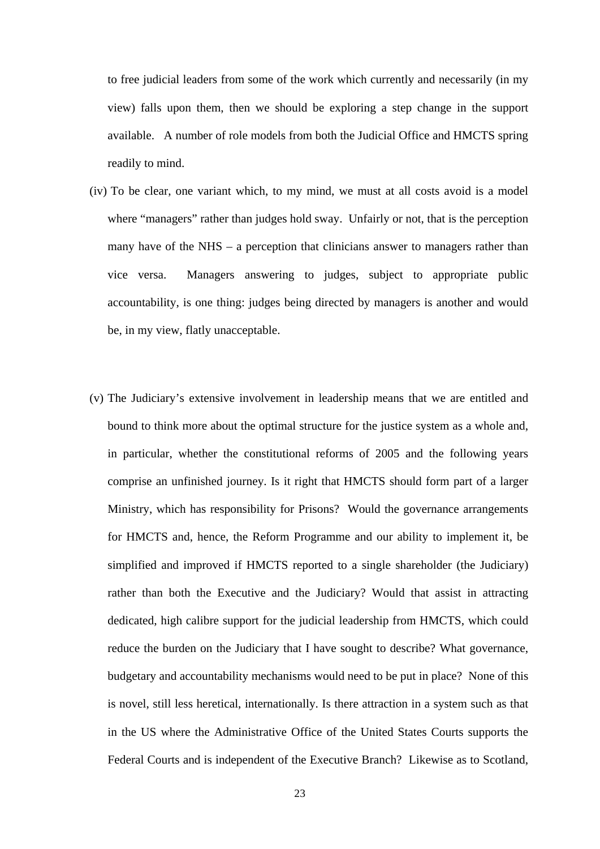to free judicial leaders from some of the work which currently and necessarily (in my view) falls upon them, then we should be exploring a step change in the support available. A number of role models from both the Judicial Office and HMCTS spring readily to mind.

- (iv) To be clear, one variant which, to my mind, we must at all costs avoid is a model where "managers" rather than judges hold sway. Unfairly or not, that is the perception many have of the NHS – a perception that clinicians answer to managers rather than vice versa. Managers answering to judges, subject to appropriate public accountability, is one thing: judges being directed by managers is another and would be, in my view, flatly unacceptable.
- (v) The Judiciary's extensive involvement in leadership means that we are entitled and bound to think more about the optimal structure for the justice system as a whole and, in particular, whether the constitutional reforms of 2005 and the following years comprise an unfinished journey. Is it right that HMCTS should form part of a larger Ministry, which has responsibility for Prisons? Would the governance arrangements for HMCTS and, hence, the Reform Programme and our ability to implement it, be simplified and improved if HMCTS reported to a single shareholder (the Judiciary) rather than both the Executive and the Judiciary? Would that assist in attracting dedicated, high calibre support for the judicial leadership from HMCTS, which could reduce the burden on the Judiciary that I have sought to describe? What governance, budgetary and accountability mechanisms would need to be put in place? None of this is novel, still less heretical, internationally. Is there attraction in a system such as that in the US where the Administrative Office of the United States Courts supports the Federal Courts and is independent of the Executive Branch? Likewise as to Scotland,